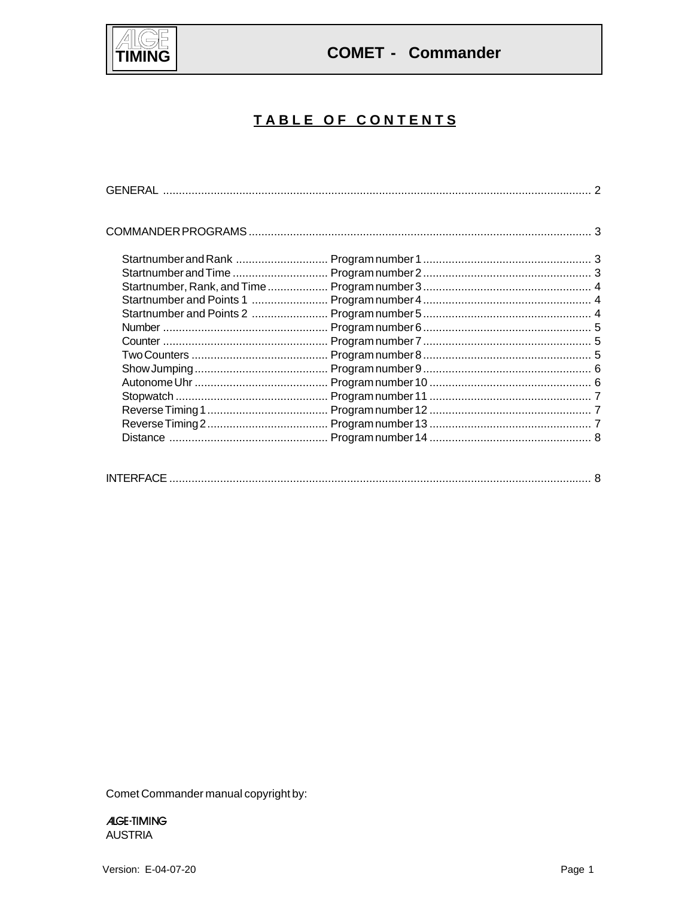

**COMET - Commander** 

# TABLE OF CONTENTS

Comet Commander manual copyright by:

**ALGE-TIMING AUSTRIA**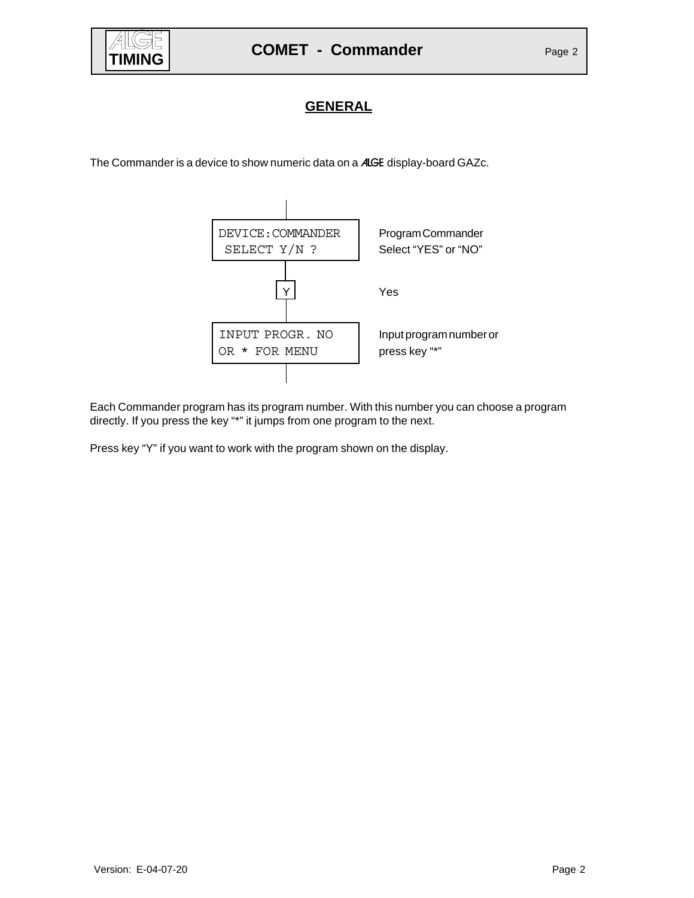

### **GENERAL**

The Commander is a device to show numeric data on a ALGE display-board GAZc.



Each Commander program has its program number. With this number you can choose a program directly. If you press the key "\*" it jumps from one program to the next.

Press key "Y" if you want to work with the program shown on the display.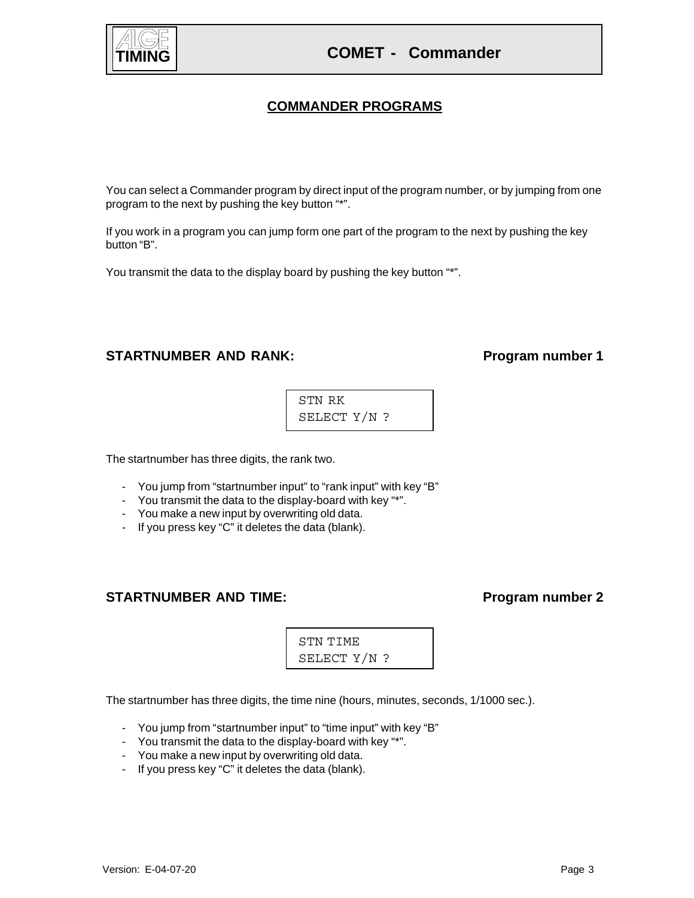# **COMET - Commander**

## **COMMANDER PROGRAMS**

You can select a Commander program by direct input of the program number, or by jumping from one program to the next by pushing the key button "\*".

If you work in a program you can jump form one part of the program to the next by pushing the key button "B".

You transmit the data to the display board by pushing the key button "\*".

### STARTNUMBER AND RANK: Program number 1

STN RK SELECT Y/N ?

The startnumber has three digits, the rank two.

- You jump from "startnumber input" to "rank input" with key "B"
- You transmit the data to the display-board with key "\*".
- You make a new input by overwriting old data.
- If you press key "C" it deletes the data (blank).

### STARTNUMBER AND TIME: Program number 2

STN TIME SELECT Y/N ?

The startnumber has three digits, the time nine (hours, minutes, seconds, 1/1000 sec.).

- You jump from "startnumber input" to "time input" with key "B"
- You transmit the data to the display-board with key "\*".
- You make a new input by overwriting old data.
- If you press key "C" it deletes the data (blank).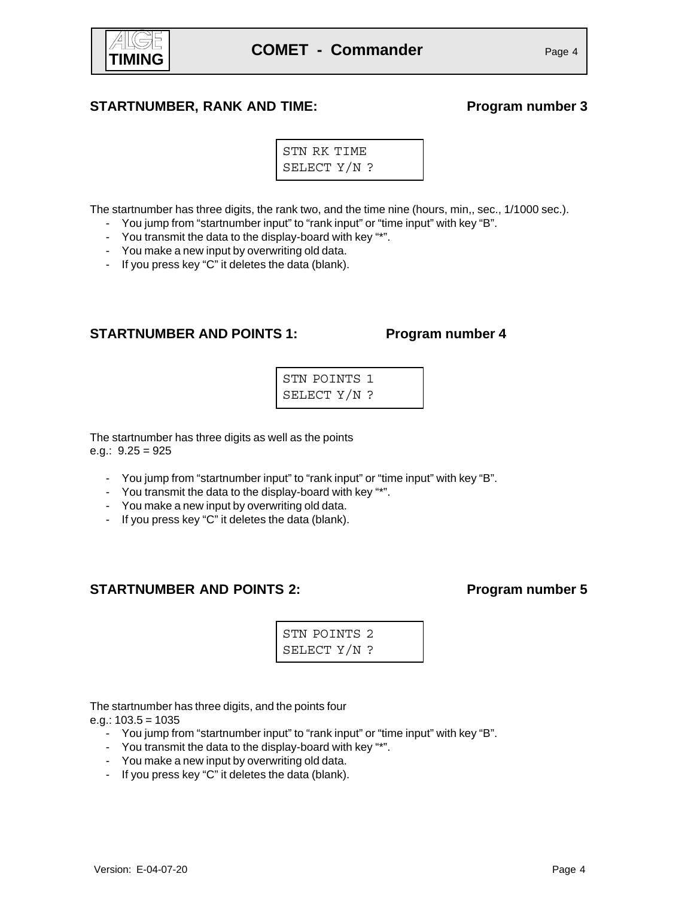

### STARTNUMBER, RANK AND TIME: Program number 3

STN RK TIME SELECT Y/N ?

The startnumber has three digits, the rank two, and the time nine (hours, min,, sec., 1/1000 sec.).

- You jump from "startnumber input" to "rank input" or "time input" with key "B".
- You transmit the data to the display-board with key "\*".
- You make a new input by overwriting old data.
- If you press key "C" it deletes the data (blank).

### **STARTNUMBER AND POINTS 1: Program number 4**

| STN POINTS 1 |  |
|--------------|--|
| SELECT Y/N ? |  |

The startnumber has three digits as well as the points e.g.:  $9.25 = 925$ 

- You jump from "startnumber input" to "rank input" or "time input" with key "B".
- You transmit the data to the display-board with key "\*".
- You make a new input by overwriting old data.
- If you press key "C" it deletes the data (blank).

### **STARTNUMBER AND POINTS 2:** Program number 5

STN POINTS 2 SELECT Y/N ?

The startnumber has three digits, and the points four

e.g.:  $103.5 = 1035$ 

- You jump from "startnumber input" to "rank input" or "time input" with key "B".
- You transmit the data to the display-board with key "\*".
- You make a new input by overwriting old data.
- If you press key "C" it deletes the data (blank).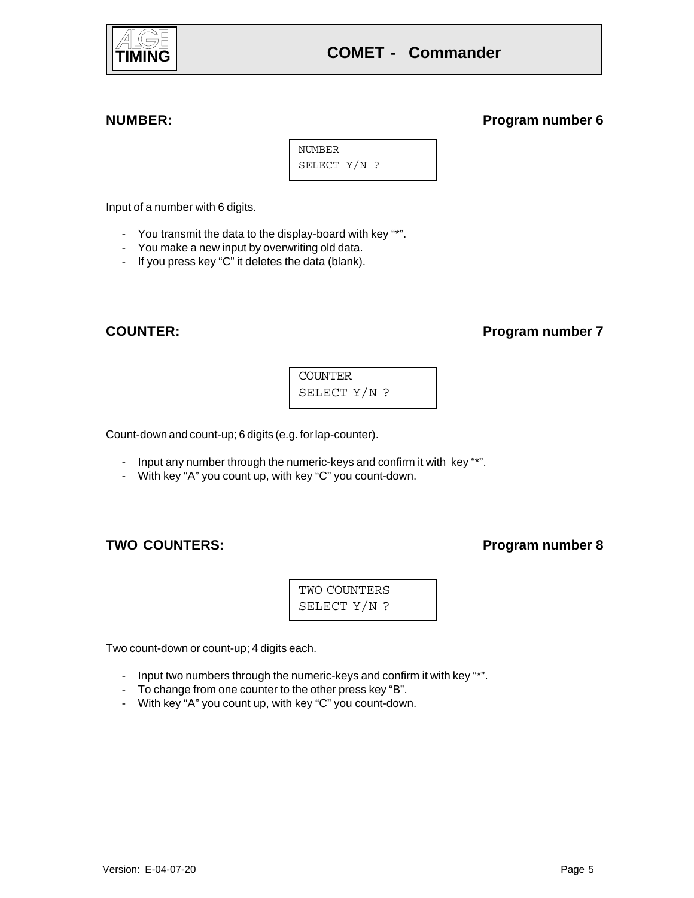

### **NUMBER: Program number 6**

NUMBER SELECT Y/N ?

Input of a number with 6 digits.

- You transmit the data to the display-board with key "\*".
- You make a new input by overwriting old data.
- If you press key "C" it deletes the data (blank).

### **COUNTER: Program number 7**

COUNTER SELECT Y/N ?

Count-down and count-up; 6 digits (e.g. for lap-counter).

- Input any number through the numeric-keys and confirm it with key "\*".
- With key "A" you count up, with key "C" you count-down.

### TWO COUNTERS: **Program number 8**

TWO COUNTERS SELECT Y/N ?

Two count-down or count-up; 4 digits each.

- Input two numbers through the numeric-keys and confirm it with key "\*".
- To change from one counter to the other press key "B".
- With key "A" you count up, with key "C" you count-down.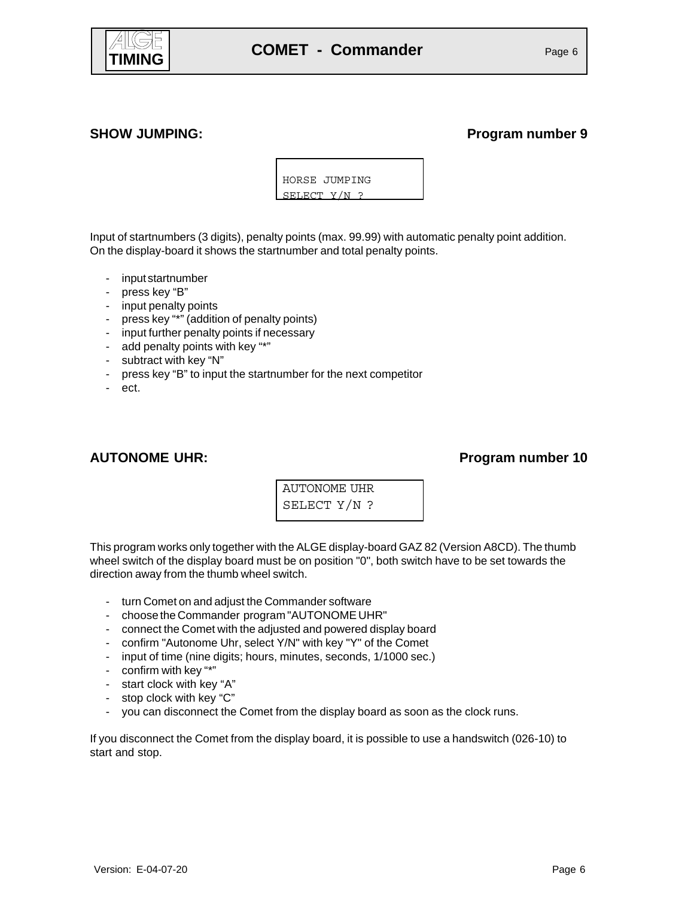

### SHOW JUMPING: **Program number 9**

HORSE JUMPING SELECT Y/N ?

Input of startnumbers (3 digits), penalty points (max. 99.99) with automatic penalty point addition. On the display-board it shows the startnumber and total penalty points.

- input startnumber
- press key "B"
- input penalty points
- press key "\*" (addition of penalty points)
- input further penalty points if necessary
- add penalty points with key "\*"
- subtract with key "N"
- press key "B" to input the startnumber for the next competitor
- ect.

### AUTONOME UHR: **Program number 10**

| AUTONOME UHR |
|--------------|
| SELECT Y/N ? |

This program works only together with the ALGE display-board GAZ 82 (Version A8CD). The thumb wheel switch of the display board must be on position "0", both switch have to be set towards the direction away from the thumb wheel switch.

- turn Comet on and adjust the Commander software
- choose the Commander program "AUTONOME UHR"
- connect the Comet with the adjusted and powered display board
- confirm "Autonome Uhr, select Y/N" with key "Y" of the Comet
- input of time (nine digits; hours, minutes, seconds, 1/1000 sec.)
- confirm with key "\*"
- start clock with key "A"
- stop clock with key "C"
- you can disconnect the Comet from the display board as soon as the clock runs.

If you disconnect the Comet from the display board, it is possible to use a handswitch (026-10) to start and stop.